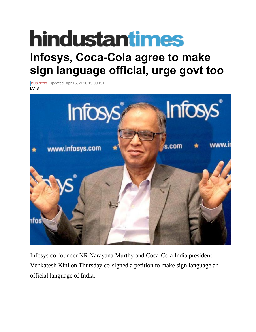## **hindustantimes**

## **Infosys, Coca-Cola agree to make sign language official, urge govt too**

**[BUSINESS](http://www.hindustantimes.com/business)** Updated: Apr 15, 2016 19:09 IST **IANS** 



Infosys co-founder NR Narayana Murthy and Coca-Cola India president Venkatesh Kini on Thursday co-signed a petition to make sign language an official language of India.